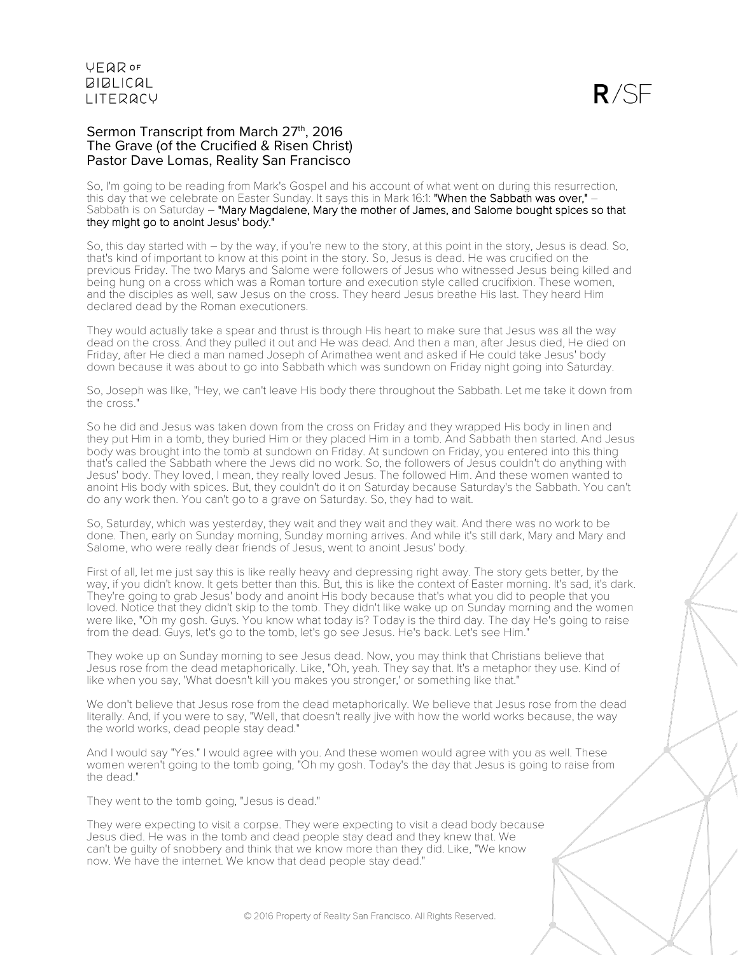## Sermon Transcript from March 27th, 2016 The Grave (of the Crucified & Risen Christ) Pastor Dave Lomas, Reality San Francisco

So, I'm going to be reading from Mark's Gospel and his account of what went on during this resurrection, this day that we celebrate on Easter Sunday. It says this in Mark 16:1: **"When the Sabbath was over,"** – Sabbath is on Saturday – "Mary Magdalene, Mary the mother of James, and Salome bought spices so that they might go to anoint Jesus' body."

So, this day started with – by the way, if you're new to the story, at this point in the story, Jesus is dead. So, that's kind of important to know at this point in the story. So, Jesus is dead. He was crucified on the previous Friday. The two Marys and Salome were followers of Jesus who witnessed Jesus being killed and being hung on a cross which was a Roman torture and execution style called crucifixion. These women, and the disciples as well, saw Jesus on the cross. They heard Jesus breathe His last. They heard Him declared dead by the Roman executioners.

They would actually take a spear and thrust is through His heart to make sure that Jesus was all the way dead on the cross. And they pulled it out and He was dead. And then a man, after Jesus died, He died on Friday, after He died a man named Joseph of Arimathea went and asked if He could take Jesus' body down because it was about to go into Sabbath which was sundown on Friday night going into Saturday.

So, Joseph was like, "Hey, we can't leave His body there throughout the Sabbath. Let me take it down from the cross."

So he did and Jesus was taken down from the cross on Friday and they wrapped His body in linen and they put Him in a tomb, they buried Him or they placed Him in a tomb. And Sabbath then started. And Jesus body was brought into the tomb at sundown on Friday. At sundown on Friday, you entered into this thing that's called the Sabbath where the Jews did no work. So, the followers of Jesus couldn't do anything with Jesus' body. They loved, I mean, they really loved Jesus. The followed Him. And these women wanted to anoint His body with spices. But, they couldn't do it on Saturday because Saturday's the Sabbath. You can't do any work then. You can't go to a grave on Saturday. So, they had to wait.

So, Saturday, which was yesterday, they wait and they wait and they wait. And there was no work to be done. Then, early on Sunday morning, Sunday morning arrives. And while it's still dark, Mary and Mary and Salome, who were really dear friends of Jesus, went to anoint Jesus' body.

First of all, let me just say this is like really heavy and depressing right away. The story gets better, by the way, if you didn't know. It gets better than this. But, this is like the context of Easter morning. It's sad, it's dark. They're going to grab Jesus' body and anoint His body because that's what you did to people that you loved. Notice that they didn't skip to the tomb. They didn't like wake up on Sunday morning and the women were like, "Oh my gosh. Guys. You know what today is? Today is the third day. The day He's going to raise from the dead. Guys, let's go to the tomb, let's go see Jesus. He's back. Let's see Him."

They woke up on Sunday morning to see Jesus dead. Now, you may think that Christians believe that Jesus rose from the dead metaphorically. Like, "Oh, yeah. They say that. It's a metaphor they use. Kind of like when you say, 'What doesn't kill you makes you stronger,' or something like that.'

We don't believe that Jesus rose from the dead metaphorically. We believe that Jesus rose from the dead literally. And, if you were to say, "Well, that doesn't really jive with how the world works because, the way the world works, dead people stay dead."

And I would say "Yes." I would agree with you. And these women would agree with you as well. These women weren't going to the tomb going, "Oh my gosh. Today's the day that Jesus is going to raise from the dead."

They went to the tomb going, "Jesus is dead."

They were expecting to visit a corpse. They were expecting to visit a dead body because Jesus died. He was in the tomb and dead people stay dead and they knew that. We can't be guilty of snobbery and think that we know more than they did. Like, "We know now. We have the internet. We know that dead people stay dead."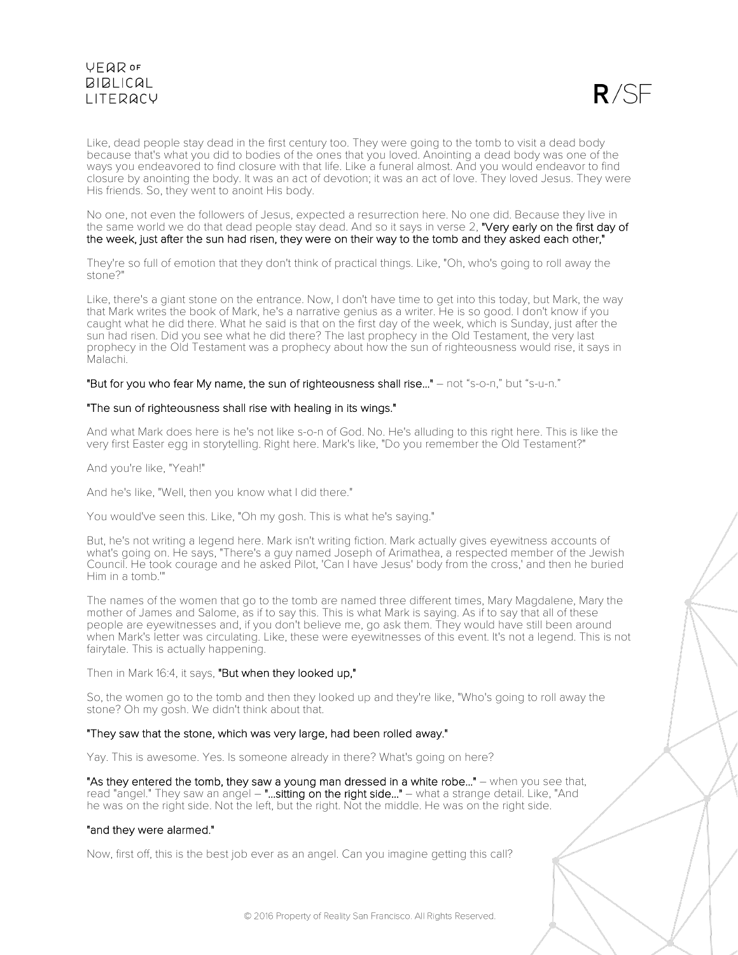

Like, dead people stay dead in the first century too. They were going to the tomb to visit a dead body because that's what you did to bodies of the ones that you loved. Anointing a dead body was one of the ways you endeavored to find closure with that life. Like a funeral almost. And you would endeavor to find closure by anointing the body. It was an act of devotion; it was an act of love. They loved Jesus. They were His friends. So, they went to anoint His body.

No one, not even the followers of Jesus, expected a resurrection here. No one did. Because they live in the same world we do that dead people stay dead. And so it says in verse 2, "Very early on the first day of the week, just after the sun had risen, they were on their way to the tomb and they asked each other,"

They're so full of emotion that they don't think of practical things. Like, "Oh, who's going to roll away the stone?"

Like, there's a giant stone on the entrance. Now, I don't have time to get into this today, but Mark, the way that Mark writes the book of Mark, he's a narrative genius as a writer. He is so good. I don't know if you caught what he did there. What he said is that on the first day of the week, which is Sunday, just after the sun had risen. Did you see what he did there? The last prophecy in the Old Testament, the very last prophecy in the Old Testament was a prophecy about how the sun of righteousness would rise, it says in Malachi.

"But for you who fear My name, the sun of righteousness shall rise..." – not "s-o-n," but "s-u-n."

### "The sun of righteousness shall rise with healing in its wings."

And what Mark does here is he's not like s-o-n of God. No. He's alluding to this right here. This is like the very first Easter egg in storytelling. Right here. Mark's like, "Do you remember the Old Testament?"

And you're like, "Yeah!"

And he's like, "Well, then you know what I did there."

You would've seen this. Like, "Oh my gosh. This is what he's saying."

But, he's not writing a legend here. Mark isn't writing fiction. Mark actually gives eyewitness accounts of what's going on. He says, "There's a guy named Joseph of Arimathea, a respected member of the Jewish Council. He took courage and he asked Pilot, 'Can I have Jesus' body from the cross,' and then he buried Him in a tomb.'"

The names of the women that go to the tomb are named three different times, Mary Magdalene, Mary the mother of James and Salome, as if to say this. This is what Mark is saying. As if to say that all of these people are eyewitnesses and, if you don't believe me, go ask them. They would have still been around when Mark's letter was circulating. Like, these were eyewitnesses of this event. It's not a legend. This is not fairytale. This is actually happening.

Then in Mark 16:4, it says, "But when they looked up,"

So, the women go to the tomb and then they looked up and they're like, "Who's going to roll away the stone? Oh my gosh. We didn't think about that.

### "They saw that the stone, which was very large, had been rolled away."

Yay. This is awesome. Yes. Is someone already in there? What's going on here?

"As they entered the tomb, they saw a young man dressed in a white robe..." – when you see that, read "angel." They saw an angel – "...sitting on the right side..." – what a strange detail. Like, "And he was on the right side. Not the left, but the right. Not the middle. He was on the right side.

### "and they were alarmed."

Now, first off, this is the best job ever as an angel. Can you imagine getting this call?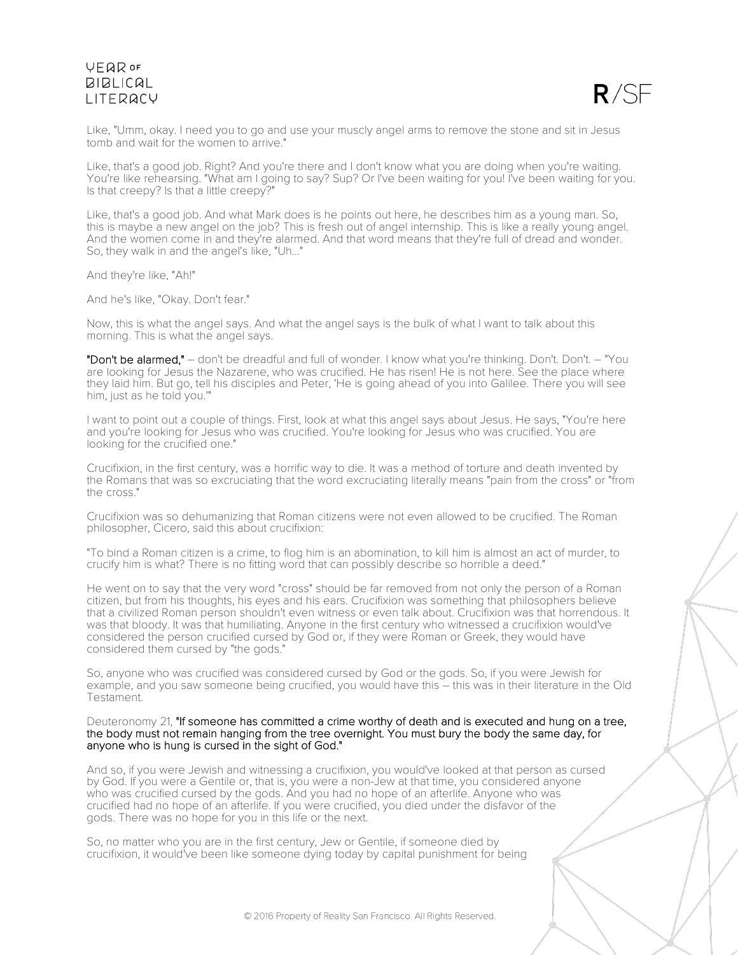

Like, "Umm, okay. I need you to go and use your muscly angel arms to remove the stone and sit in Jesus tomb and wait for the women to arrive."

Like, that's a good job. Right? And you're there and I don't know what you are doing when you're waiting. You're like rehearsing. "What am I going to say? Sup? Or I've been waiting for you! I've been waiting for you. Is that creepy? Is that a little creepy?"

Like, that's a good job. And what Mark does is he points out here, he describes him as a young man. So, this is maybe a new angel on the job? This is fresh out of angel internship. This is like a really young angel. And the women come in and they're alarmed. And that word means that they're full of dread and wonder. So, they walk in and the angel's like, "Uh..."

And they're like, "Ah!"

And he's like, "Okay. Don't fear."

Now, this is what the angel says. And what the angel says is the bulk of what I want to talk about this morning. This is what the angel says.

"Don't be alarmed," – don't be dreadful and full of wonder. I know what you're thinking. Don't. Don't. – "You are looking for Jesus the Nazarene, who was crucified. He has risen! He is not here. See the place where they laid him. But go, tell his disciples and Peter, 'He is going ahead of you into Galilee. There you will see him, just as he told you.'"

I want to point out a couple of things. First, look at what this angel says about Jesus. He says, "You're here and you're looking for Jesus who was crucified. You're looking for Jesus who was crucified. You are looking for the crucified one."

Crucifixion, in the first century, was a horrific way to die. It was a method of torture and death invented by the Romans that was so excruciating that the word excruciating literally means "pain from the cross" or "from the cross."

Crucifixion was so dehumanizing that Roman citizens were not even allowed to be crucified. The Roman philosopher, Cicero, said this about crucifixion:

"To bind a Roman citizen is a crime, to flog him is an abomination, to kill him is almost an act of murder, to crucify him is what? There is no fitting word that can possibly describe so horrible a deed."

He went on to say that the very word "cross" should be far removed from not only the person of a Roman citizen, but from his thoughts, his eyes and his ears. Crucifixion was something that philosophers believe that a civilized Roman person shouldn't even witness or even talk about. Crucifixion was that horrendous. It was that bloody. It was that humiliating. Anyone in the first century who witnessed a crucifixion would've considered the person crucified cursed by God or, if they were Roman or Greek, they would have considered them cursed by "the gods."

So, anyone who was crucified was considered cursed by God or the gods. So, if you were Jewish for example, and you saw someone being crucified, you would have this – this was in their literature in the Old Testament.

### Deuteronomy 21, "If someone has committed a crime worthy of death and is executed and hung on a tree, the body must not remain hanging from the tree overnight. You must bury the body the same day, for anyone who is hung is cursed in the sight of God."

And so, if you were Jewish and witnessing a crucifixion, you would've looked at that person as cursed by God. If you were a Gentile or, that is, you were a non-Jew at that time, you considered anyone who was crucified cursed by the gods. And you had no hope of an afterlife. Anyone who was crucified had no hope of an afterlife. If you were crucified, you died under the disfavor of the gods. There was no hope for you in this life or the next.

So, no matter who you are in the first century, Jew or Gentile, if someone died by crucifixion, it would've been like someone dying today by capital punishment for being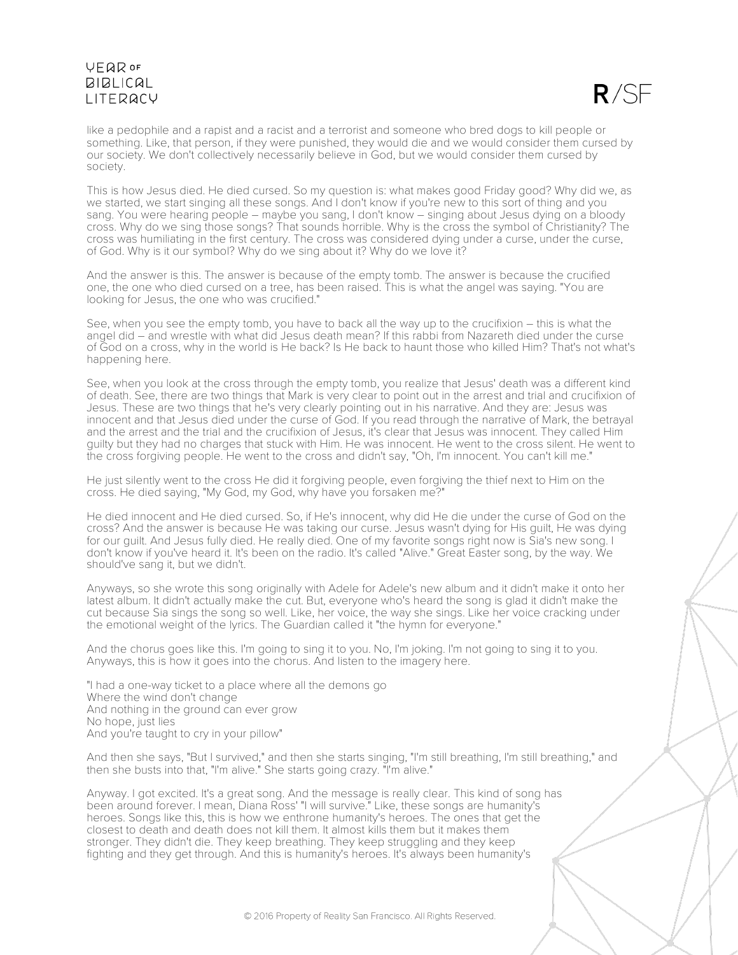

like a pedophile and a rapist and a racist and a terrorist and someone who bred dogs to kill people or something. Like, that person, if they were punished, they would die and we would consider them cursed by our society. We don't collectively necessarily believe in God, but we would consider them cursed by society.

This is how Jesus died. He died cursed. So my question is: what makes good Friday good? Why did we, as we started, we start singing all these songs. And I don't know if you're new to this sort of thing and you sang. You were hearing people – maybe you sang, I don't know – singing about Jesus dying on a bloody cross. Why do we sing those songs? That sounds horrible. Why is the cross the symbol of Christianity? The cross was humiliating in the first century. The cross was considered dying under a curse, under the curse, of God. Why is it our symbol? Why do we sing about it? Why do we love it?

And the answer is this. The answer is because of the empty tomb. The answer is because the crucified one, the one who died cursed on a tree, has been raised. This is what the angel was saying. "You are looking for Jesus, the one who was crucified."

See, when you see the empty tomb, you have to back all the way up to the crucifixion – this is what the angel did – and wrestle with what did Jesus death mean? If this rabbi from Nazareth died under the curse of God on a cross, why in the world is He back? Is He back to haunt those who killed Him? That's not what's happening here.

See, when you look at the cross through the empty tomb, you realize that Jesus' death was a different kind of death. See, there are two things that Mark is very clear to point out in the arrest and trial and crucifixion of Jesus. These are two things that he's very clearly pointing out in his narrative. And they are: Jesus was innocent and that Jesus died under the curse of God. If you read through the narrative of Mark, the betrayal and the arrest and the trial and the crucifixion of Jesus, it's clear that Jesus was innocent. They called Him guilty but they had no charges that stuck with Him. He was innocent. He went to the cross silent. He went to the cross forgiving people. He went to the cross and didn't say, "Oh, I'm innocent. You can't kill me."

He just silently went to the cross He did it forgiving people, even forgiving the thief next to Him on the cross. He died saying, "My God, my God, why have you forsaken me?"

He died innocent and He died cursed. So, if He's innocent, why did He die under the curse of God on the cross? And the answer is because He was taking our curse. Jesus wasn't dying for His guilt, He was dying for our guilt. And Jesus fully died. He really died. One of my favorite songs right now is Sia's new song. I don't know if you've heard it. It's been on the radio. It's called "Alive." Great Easter song, by the way. We should've sang it, but we didn't.

Anyways, so she wrote this song originally with Adele for Adele's new album and it didn't make it onto her latest album. It didn't actually make the cut. But, everyone who's heard the song is glad it didn't make the cut because Sia sings the song so well. Like, her voice, the way she sings. Like her voice cracking under the emotional weight of the lyrics. The Guardian called it "the hymn for everyone."

And the chorus goes like this. I'm going to sing it to you. No, I'm joking. I'm not going to sing it to you. Anyways, this is how it goes into the chorus. And listen to the imagery here.

"I had a one-way ticket to a place where all the demons go Where the wind don't change And nothing in the ground can ever grow No hope, just lies And you're taught to cry in your pillow"

And then she says, "But I survived," and then she starts singing, "I'm still breathing, I'm still breathing," and then she busts into that, "I'm alive." She starts going crazy. "I'm alive."

Anyway. I got excited. It's a great song. And the message is really clear. This kind of song has been around forever. I mean, Diana Ross' "I will survive." Like, these songs are humanity's heroes. Songs like this, this is how we enthrone humanity's heroes. The ones that get the closest to death and death does not kill them. It almost kills them but it makes them stronger. They didn't die. They keep breathing. They keep struggling and they keep fighting and they get through. And this is humanity's heroes. It's always been humanity's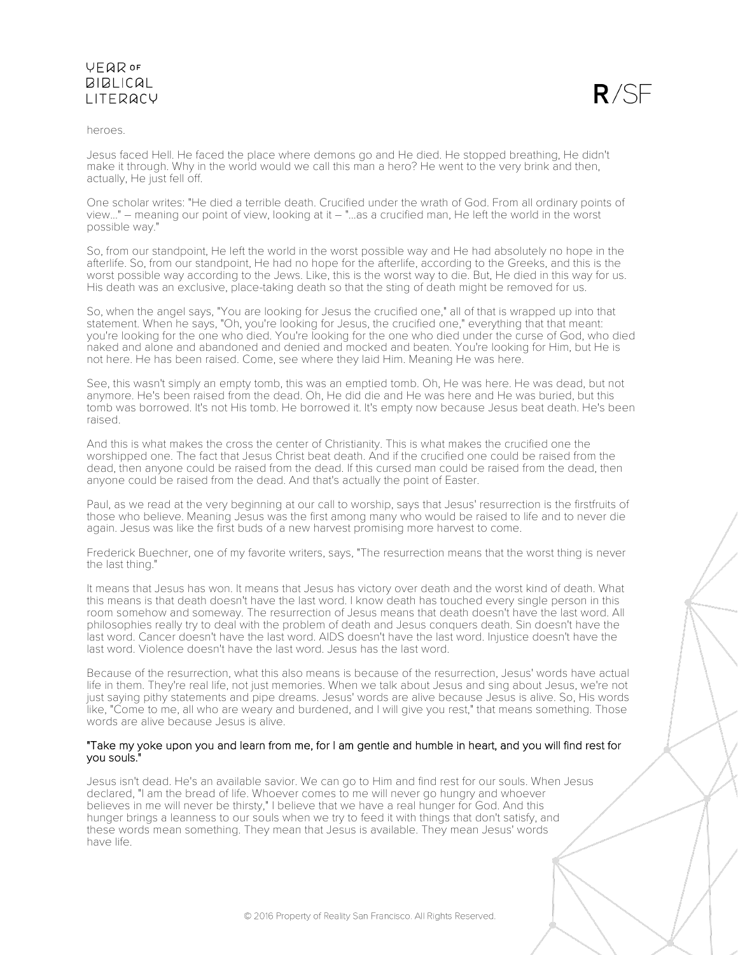

### heroes.

Jesus faced Hell. He faced the place where demons go and He died. He stopped breathing, He didn't make it through. Why in the world would we call this man a hero? He went to the very brink and then, actually, He just fell off.

One scholar writes: "He died a terrible death. Crucified under the wrath of God. From all ordinary points of view..." – meaning our point of view, looking at it – "...as a crucified man, He left the world in the worst possible way."

So, from our standpoint, He left the world in the worst possible way and He had absolutely no hope in the afterlife. So, from our standpoint, He had no hope for the afterlife, according to the Greeks, and this is the worst possible way according to the Jews. Like, this is the worst way to die. But, He died in this way for us. His death was an exclusive, place-taking death so that the sting of death might be removed for us.

So, when the angel says, "You are looking for Jesus the crucified one," all of that is wrapped up into that statement. When he says, "Oh, you're looking for Jesus, the crucified one," everything that that meant: you're looking for the one who died. You're looking for the one who died under the curse of God, who died naked and alone and abandoned and denied and mocked and beaten. You're looking for Him, but He is not here. He has been raised. Come, see where they laid Him. Meaning He was here.

See, this wasn't simply an empty tomb, this was an emptied tomb. Oh, He was here. He was dead, but not anymore. He's been raised from the dead. Oh, He did die and He was here and He was buried, but this tomb was borrowed. It's not His tomb. He borrowed it. It's empty now because Jesus beat death. He's been raised.

And this is what makes the cross the center of Christianity. This is what makes the crucified one the worshipped one. The fact that Jesus Christ beat death. And if the crucified one could be raised from the dead, then anyone could be raised from the dead. If this cursed man could be raised from the dead, then anyone could be raised from the dead. And that's actually the point of Easter.

Paul, as we read at the very beginning at our call to worship, says that Jesus' resurrection is the firstfruits of those who believe. Meaning Jesus was the first among many who would be raised to life and to never die again. Jesus was like the first buds of a new harvest promising more harvest to come.

Frederick Buechner, one of my favorite writers, says, "The resurrection means that the worst thing is never the last thing."

It means that Jesus has won. It means that Jesus has victory over death and the worst kind of death. What this means is that death doesn't have the last word. I know death has touched every single person in this room somehow and someway. The resurrection of Jesus means that death doesn't have the last word. All philosophies really try to deal with the problem of death and Jesus conquers death. Sin doesn't have the last word. Cancer doesn't have the last word. AIDS doesn't have the last word. Injustice doesn't have the last word. Violence doesn't have the last word. Jesus has the last word.

Because of the resurrection, what this also means is because of the resurrection, Jesus' words have actual life in them. They're real life, not just memories. When we talk about Jesus and sing about Jesus, we're not just saying pithy statements and pipe dreams. Jesus' words are alive because Jesus is alive. So, His words like, "Come to me, all who are weary and burdened, and I will give you rest," that means something. Those words are alive because Jesus is alive.

## "Take my yoke upon you and learn from me, for I am gentle and humble in heart, and you will find rest for you souls."

Jesus isn't dead. He's an available savior. We can go to Him and find rest for our souls. When Jesus declared, "I am the bread of life. Whoever comes to me will never go hungry and whoever believes in me will never be thirsty," I believe that we have a real hunger for God. And this hunger brings a leanness to our souls when we try to feed it with things that don't satisfy, and these words mean something. They mean that Jesus is available. They mean Jesus' words have life.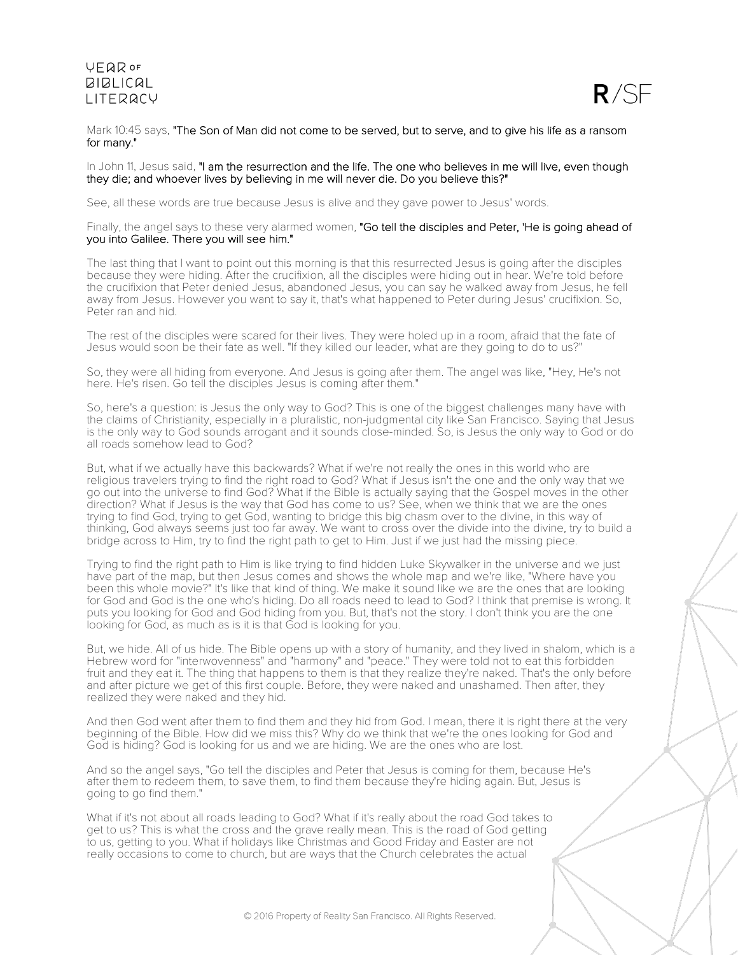

## Mark 10:45 says, "The Son of Man did not come to be served, but to serve, and to give his life as a ransom for many."

In John 11, Jesus said, "I am the resurrection and the life. The one who believes in me will live, even though they die; and whoever lives by believing in me will never die. Do you believe this?"

See, all these words are true because Jesus is alive and they gave power to Jesus' words.

### Finally, the angel says to these very alarmed women, "Go tell the disciples and Peter, 'He is going ahead of you into Galilee. There you will see him."

The last thing that I want to point out this morning is that this resurrected Jesus is going after the disciples because they were hiding. After the crucifixion, all the disciples were hiding out in hear. We're told before the crucifixion that Peter denied Jesus, abandoned Jesus, you can say he walked away from Jesus, he fell away from Jesus. However you want to say it, that's what happened to Peter during Jesus' crucifixion. So, Peter ran and hid.

The rest of the disciples were scared for their lives. They were holed up in a room, afraid that the fate of Jesus would soon be their fate as well. "If they killed our leader, what are they going to do to us?"

So, they were all hiding from everyone. And Jesus is going after them. The angel was like, "Hey, He's not here. He's risen. Go tell the disciples Jesus is coming after them."

So, here's a question: is Jesus the only way to God? This is one of the biggest challenges many have with the claims of Christianity, especially in a pluralistic, non-judgmental city like San Francisco. Saying that Jesus is the only way to God sounds arrogant and it sounds close-minded. So, is Jesus the only way to God or do all roads somehow lead to God?

But, what if we actually have this backwards? What if we're not really the ones in this world who are religious travelers trying to find the right road to God? What if Jesus isn't the one and the only way that we go out into the universe to find God? What if the Bible is actually saying that the Gospel moves in the other direction? What if Jesus is the way that God has come to us? See, when we think that we are the ones trying to find God, trying to get God, wanting to bridge this big chasm over to the divine, in this way of thinking, God always seems just too far away. We want to cross over the divide into the divine, try to build a bridge across to Him, try to find the right path to get to Him. Just if we just had the missing piece.

Trying to find the right path to Him is like trying to find hidden Luke Skywalker in the universe and we just have part of the map, but then Jesus comes and shows the whole map and we're like, "Where have you been this whole movie?" It's like that kind of thing. We make it sound like we are the ones that are looking for God and God is the one who's hiding. Do all roads need to lead to God? I think that premise is wrong. It puts you looking for God and God hiding from you. But, that's not the story. I don't think you are the one looking for God, as much as is it is that God is looking for you.

But, we hide. All of us hide. The Bible opens up with a story of humanity, and they lived in shalom, which is a Hebrew word for "interwovenness" and "harmony" and "peace." They were told not to eat this forbidden fruit and they eat it. The thing that happens to them is that they realize they're naked. That's the only before and after picture we get of this first couple. Before, they were naked and unashamed. Then after, they realized they were naked and they hid.

And then God went after them to find them and they hid from God. I mean, there it is right there at the very beginning of the Bible. How did we miss this? Why do we think that we're the ones looking for God and God is hiding? God is looking for us and we are hiding. We are the ones who are lost.

And so the angel says, "Go tell the disciples and Peter that Jesus is coming for them, because He's after them to redeem them, to save them, to find them because they're hiding again. But, Jesus is going to go find them."

What if it's not about all roads leading to God? What if it's really about the road God takes to get to us? This is what the cross and the grave really mean. This is the road of God getting to us, getting to you. What if holidays like Christmas and Good Friday and Easter are not really occasions to come to church, but are ways that the Church celebrates the actual